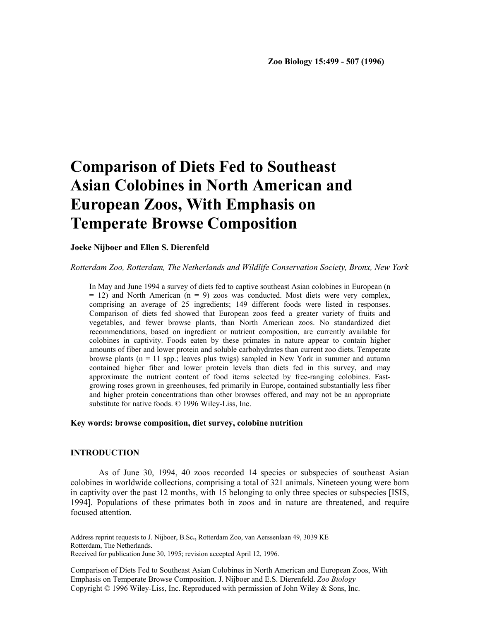# **Comparison of Diets Fed to Southeast Asian Colobines in North American and European Zoos, With Emphasis on Temperate Browse Composition**

## **Joeke Nijboer and Ellen S. Dierenfeld**

*Rotterdam Zoo, Rotterdam, The Netherlands and Wildlife Conservation Society, Bronx, New York* 

In May and June 1994 a survey of diets fed to captive southeast Asian colobines in European (n **=** 12) and North American (n **=** 9) zoos was conducted. Most diets were very complex, comprising an average of 25 ingredients; 149 different foods were listed in responses. Comparison of diets fed showed that European zoos feed a greater variety of fruits and vegetables, and fewer browse plants, than North American zoos. No standardized diet recommendations, based on ingredient or nutrient composition, are currently available for colobines in captivity. Foods eaten by these primates in nature appear to contain higher amounts of fiber and lower protein and soluble carbohydrates than current zoo diets. Temperate browse plants (n **=** 11 spp.; leaves plus twigs) sampled in New York in summer and autumn contained higher fiber and lower protein levels than diets fed in this survey, and may approximate the nutrient content of food items selected by free-ranging colobines. Fastgrowing roses grown in greenhouses, fed primarily in Europe, contained substantially less fiber and higher protein concentrations than other browses offered, and may not be an appropriate substitute for native foods. © 1996 Wiley-Liss, Inc.

## **Key words: browse composition, diet survey, colobine nutrition**

#### **INTRODUCTION**

As of June 30, 1994, 40 zoos recorded 14 species or subspecies of southeast Asian colobines in worldwide collections, comprising a total of 321 animals. Nineteen young were born in captivity over the past 12 months, with 15 belonging to only three species or subspecies [ISIS, 1994]. Populations of these primates both in zoos and in nature are threatened, and require focused attention.

Address reprint requests to J. Nijboer, B.Sc**.,** Rotterdam Zoo, van Aerssenlaan 49, 3039 KE Rotterdam, The Netherlands. Received for publication June 30, 1995; revision accepted April 12, 1996.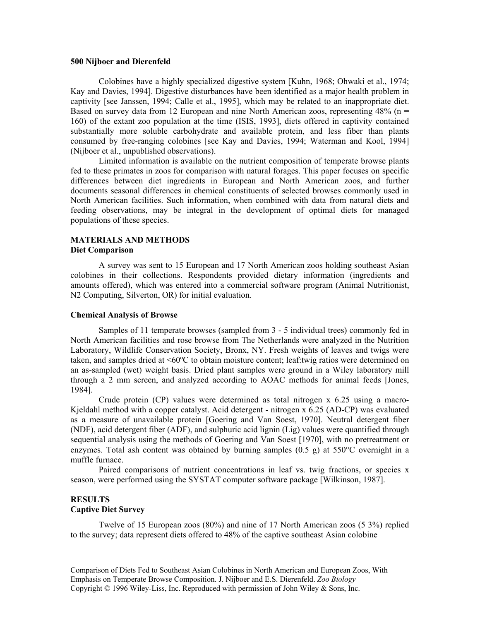#### **500 Nijboer and Dierenfeld**

Colobines have a highly specialized digestive system [Kuhn, 1968; Ohwaki et al., 1974; Kay and Davies, 1994]. Digestive disturbances have been identified as a major health problem in captivity [see Janssen, 1994; Calle et al., 1995], which may be related to an inappropriate diet. Based on survey data from 12 European and nine North American zoos, representing 48% (n **=**  160) of the extant zoo population at the time (ISIS, 1993], diets offered in captivity contained substantially more soluble carbohydrate and available protein, and less fiber than plants consumed by free-ranging colobines [see Kay and Davies, 1994; Waterman and Kool, 1994] (Nijboer et al., unpublished observations).

Limited information is available on the nutrient composition of temperate browse plants fed to these primates in zoos for comparison with natural forages. This paper focuses on specific differences between diet ingredients in European and North American zoos, and further documents seasonal differences in chemical constituents of selected browses commonly used in North American facilities. Such information, when combined with data from natural diets and feeding observations, may be integral in the development of optimal diets for managed populations of these species.

## **MATERIALS AND METHODS Diet Comparison**

A survey was sent to 15 European and 17 North American zoos holding southeast Asian colobines in their collections. Respondents provided dietary information (ingredients and amounts offered), which was entered into a commercial software program (Animal Nutritionist, N2 Computing, Silverton, OR) for initial evaluation.

#### **Chemical Analysis of Browse**

Samples of 11 temperate browses (sampled from 3 - 5 individual trees) commonly fed in North American facilities and rose browse from The Netherlands were analyzed in the Nutrition Laboratory, Wildlife Conservation Society, Bronx, NY. Fresh weights of leaves and twigs were taken, and samples dried at <60ºC to obtain moisture content; leaf:twig ratios were determined on an as-sampled (wet) weight basis. Dried plant samples were ground in a Wiley laboratory mill through a 2 mm screen, and analyzed according to AOAC methods for animal feeds [Jones, 1984].

Crude protein (CP) values were determined as total nitrogen x 6.25 using a macro-Kjeldahl method with a copper catalyst. Acid detergent - nitrogen x 6.25 (AD-CP) was evaluated as a measure of unavailable protein [Goering and Van Soest, 1970]. Neutral detergent fiber (NDF), acid detergent fiber (ADF), and sulphuric acid lignin (Lig) values were quantified through sequential analysis using the methods of Goering and Van Soest [1970], with no pretreatment or enzymes. Total ash content was obtained by burning samples  $(0.5 \text{ g})$  at  $550^{\circ}$ C overnight in a muffle furnace.

Paired comparisons of nutrient concentrations in leaf vs. twig fractions, or species x season, were performed using the SYSTAT computer software package [Wilkinson, 1987].

## **RESULTS Captive Diet Survey**

Twelve of 15 European zoos (80%) and nine of 17 North American zoos (5 3%) replied to the survey; data represent diets offered to 48% of the captive southeast Asian colobine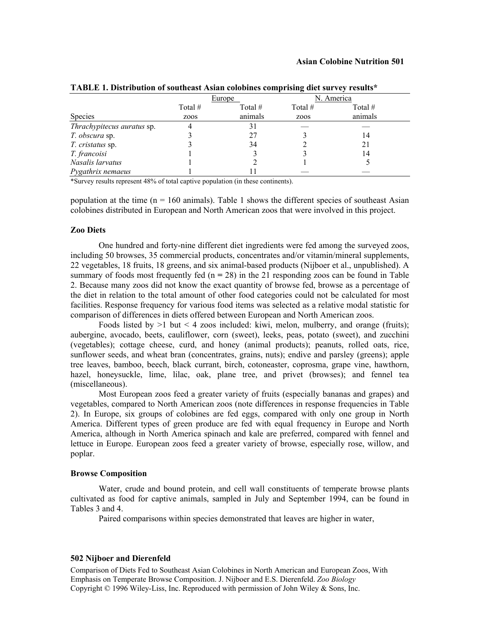#### **Asian Colobine Nutrition 501**

|                                   |         | Europe    |           | N. America |
|-----------------------------------|---------|-----------|-----------|------------|
|                                   | Total # | Total $#$ | Total $#$ | Total $#$  |
| <b>Species</b>                    | ZOOS    | animals   | ZOOS      | animals    |
| <i>Thrachypitecus auratus sp.</i> |         | 31        |           |            |
| T. obscura sp.                    |         | 27        |           | 14         |
| T. cristatus sp.                  |         | 34        |           | 21         |
| T. francoisi                      |         |           |           | 14         |
| Nasalis larvatus                  |         |           |           |            |
| Pygathrix nemaeus                 |         |           |           |            |

**TABLE 1. Distribution of southeast Asian colobines comprising diet survey results\*** 

\*Survey results represent 48% of total captive population (in these continents).

population at the time ( $n = 160$  animals). Table 1 shows the different species of southeast Asian colobines distributed in European and North American zoos that were involved in this project.

#### **Zoo Diets**

One hundred and forty-nine different diet ingredients were fed among the surveyed zoos, including 50 browses, 35 commercial products, concentrates and/or vitamin/mineral supplements, 22 vegetables, 18 fruits, 18 greens, and six animal-based products (Nijboer et al., unpublished). A summary of foods most frequently fed  $(n = 28)$  in the 21 responding zoos can be found in Table 2. Because many zoos did not know the exact quantity of browse fed, browse as a percentage of the diet in relation to the total amount of other food categories could not be calculated for most facilities. Response frequency for various food items was selected as a relative modal statistic for comparison of differences in diets offered between European and North American zoos.

Foods listed by  $>1$  but  $\leq 4$  zoos included: kiwi, melon, mulberry, and orange (fruits); aubergine, avocado, beets, cauliflower, corn (sweet), leeks, peas, potato (sweet), and zucchini (vegetables); cottage cheese, curd, and honey (animal products); peanuts, rolled oats, rice, sunflower seeds, and wheat bran (concentrates, grains, nuts); endive and parsley (greens); apple tree leaves, bamboo, beech, black currant, birch, cotoneaster, coprosma, grape vine, hawthorn, hazel, honeysuckle, lime, lilac, oak, plane tree, and privet (browses); and fennel tea (miscellaneous).

Most European zoos feed a greater variety of fruits (especially bananas and grapes) and vegetables, compared to North American zoos (note differences in response frequencies in Table 2). In Europe, six groups of colobines are fed eggs, compared with only one group in North America. Different types of green produce are fed with equal frequency in Europe and North America, although in North America spinach and kale are preferred, compared with fennel and lettuce in Europe. European zoos feed a greater variety of browse, especially rose, willow, and poplar.

#### **Browse Composition**

Water, crude and bound protein, and cell wall constituents of temperate browse plants cultivated as food for captive animals, sampled in July and September 1994, can be found in Tables 3 and 4.

Paired comparisons within species demonstrated that leaves are higher in water,

#### **502 Nijboer and Dierenfeld**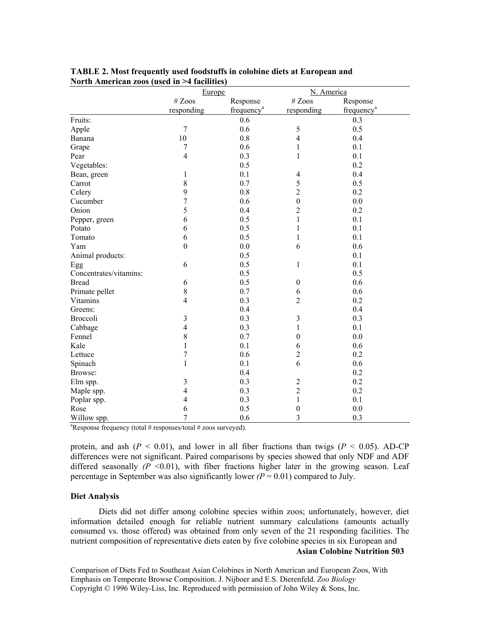|                        | Europe                   |                        | N. America              |                        |
|------------------------|--------------------------|------------------------|-------------------------|------------------------|
|                        | # Zoos                   | Response               | # Zoos                  | Response               |
|                        | responding               | frequency <sup>a</sup> | responding              | frequency <sup>a</sup> |
| Fruits:                |                          | 0.6                    |                         | 0.3                    |
| Apple                  | $\boldsymbol{7}$         | 0.6                    | 5                       | 0.5                    |
| Banana                 | 10                       | 0.8                    | $\overline{4}$          | 0.4                    |
| Grape                  | 7                        | 0.6                    | 1                       | 0.1                    |
| Pear                   | 4                        | 0.3                    | 1                       | 0.1                    |
| Vegetables:            |                          | 0.5                    |                         | 0.2                    |
| Bean, green            | 1                        | 0.1                    | $\overline{4}$          | 0.4                    |
| Carrot                 | 8                        | 0.7                    | 5                       | 0.5                    |
| Celery                 | 9                        | 0.8                    | $\overline{2}$          | 0.2                    |
| Cucumber               | 7                        | 0.6                    | $\boldsymbol{0}$        | 0.0                    |
| Onion                  | 5                        | 0.4                    | $\overline{c}$          | 0.2                    |
| Pepper, green          | 6                        | 0.5                    | 1                       | 0.1                    |
| Potato                 | 6                        | 0.5                    | 1                       | 0.1                    |
| Tomato                 | 6                        | 0.5                    | 1                       | 0.1                    |
| Yam                    | $\boldsymbol{0}$         | 0.0                    | 6                       | 0.6                    |
| Animal products:       |                          | 0.5                    |                         | 0.1                    |
| Egg                    | 6                        | 0.5                    | 1                       | 0.1                    |
| Concentrates/vitamins: |                          | 0.5                    |                         | 0.5                    |
| <b>Bread</b>           | 6                        | 0.5                    | $\boldsymbol{0}$        | 0.6                    |
| Primate pellet         | $\,8\,$                  | 0.7                    | 6                       | 0.6                    |
| Vitamins               | $\overline{4}$           | 0.3                    | $\overline{2}$          | 0.2                    |
| Greens:                |                          | 0.4                    |                         | 0.4                    |
| <b>Broccoli</b>        | 3                        | 0.3                    | 3                       | 0.3                    |
| Cabbage                | $\overline{\mathcal{A}}$ | 0.3                    | 1                       | 0.1                    |
| Fennel                 | 8                        | 0.7                    | $\boldsymbol{0}$        | 0.0                    |
| Kale                   | $\mathbf{1}$             | 0.1                    | 6                       | 0.6                    |
| Lettuce                | 7                        | 0.6                    | $\overline{c}$          | 0.2                    |
| Spinach                | $\mathbf{1}$             | 0.1                    | 6                       | 0.6                    |
| Browse:                |                          | 0.4                    |                         | 0.2                    |
| Elm spp.               | 3                        | 0.3                    | $\overline{\mathbf{c}}$ | 0.2                    |
| Maple spp.             | $\overline{4}$           | 0.3                    | $\overline{c}$          | 0.2                    |
| Poplar spp.            | $\overline{4}$           | 0.3                    | $\mathbf{1}$            | 0.1                    |
| Rose                   | 6                        | 0.5                    | $\boldsymbol{0}$        | 0.0                    |
| Willow spp.            | 7                        | 0.6                    | 3                       | 0.3                    |

**TABLE 2. Most frequently used foodstuffs in colobine diets at European and North American zoos (used in >4 facilities)** 

<sup>a</sup>Response frequency (total # responses/total # zoos surveyed).

protein, and ash  $(P \le 0.01)$ , and lower in all fiber fractions than twigs  $(P \le 0.05)$ . AD-CP differences were not significant. Paired comparisons by species showed that only NDF and ADF differed seasonally  $(P \le 0.01)$ , with fiber fractions higher later in the growing season. Leaf percentage in September was also significantly lower  $(P = 0.01)$  compared to July.

## **Diet Analysis**

Diets did not differ among colobine species within zoos; unfortunately, however, diet information detailed enough for reliable nutrient summary calculations (amounts actually consumed vs. those offered) was obtained from only seven of the 21 responding facilities. The nutrient composition of representative diets eaten by five colobine species in six European and **Asian Colobine Nutrition 503**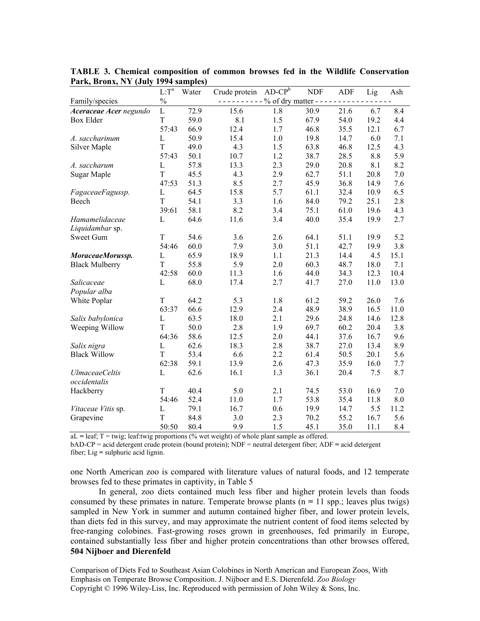|                        | $L:T^a$      | Water | Crude protein                          | $AD-CPb$ | <b>NDF</b> | <b>ADF</b> | Lig                                                                                                                                                                                                                                                                                                                                                                                          | Ash  |
|------------------------|--------------|-------|----------------------------------------|----------|------------|------------|----------------------------------------------------------------------------------------------------------------------------------------------------------------------------------------------------------------------------------------------------------------------------------------------------------------------------------------------------------------------------------------------|------|
| Family/species         | $\%$         |       | ----------% of dry matter ------------ |          |            |            | $\frac{1}{2} \frac{1}{2} \frac{1}{2} \frac{1}{2} \frac{1}{2} \frac{1}{2} \frac{1}{2} \frac{1}{2} \frac{1}{2} \frac{1}{2} \frac{1}{2} \frac{1}{2} \frac{1}{2} \frac{1}{2} \frac{1}{2} \frac{1}{2} \frac{1}{2} \frac{1}{2} \frac{1}{2} \frac{1}{2} \frac{1}{2} \frac{1}{2} \frac{1}{2} \frac{1}{2} \frac{1}{2} \frac{1}{2} \frac{1}{2} \frac{1}{2} \frac{1}{2} \frac{1}{2} \frac{1}{2} \frac{$ |      |
| Aceraceae Acer negundo | L            | 72.9  | 15.6                                   | 1.8      | 30.9       | 21.6       | 6.7                                                                                                                                                                                                                                                                                                                                                                                          | 8.4  |
| <b>Box Elder</b>       | T            | 59.0  | 8.1                                    | 1.5      | 67.9       | 54.0       | 19.2                                                                                                                                                                                                                                                                                                                                                                                         | 4.4  |
|                        | 57:43        | 66.9  | 12.4                                   | 1.7      | 46.8       | 35.5       | 12.1                                                                                                                                                                                                                                                                                                                                                                                         | 6.7  |
| A. saccharinum         | L            | 50.9  | 15.4                                   | 1.0      | 19.8       | 14.7       | 6.0                                                                                                                                                                                                                                                                                                                                                                                          | 7.1  |
| Silver Maple           | T            | 49.0  | 4.3                                    | 1.5      | 63.8       | 46.8       | 12.5                                                                                                                                                                                                                                                                                                                                                                                         | 4.3  |
|                        | 57:43        | 50.1  | 10.7                                   | 1.2      | 38.7       | 28.5       | 8.8                                                                                                                                                                                                                                                                                                                                                                                          | 5.9  |
| A. saccharum           | L            | 57.8  | 13.3                                   | 2.3      | 29.0       | 20.8       | 8.1                                                                                                                                                                                                                                                                                                                                                                                          | 8.2  |
| Sugar Maple            | T            | 45.5  | 4.3                                    | 2.9      | 62.7       | 51.1       | 20.8                                                                                                                                                                                                                                                                                                                                                                                         | 7.0  |
|                        | 47:53        | 51.3  | 8.5                                    | 2.7      | 45.9       | 36.8       | 14.9                                                                                                                                                                                                                                                                                                                                                                                         | 7.6  |
| FagaceaeFagussp.       | L            | 64.5  | 15.8                                   | 5.7      | 61.1       | 32.4       | 10.9                                                                                                                                                                                                                                                                                                                                                                                         | 6.5  |
| Beech                  | T            | 54.1  | 3.3                                    | 1.6      | 84.0       | 79.2       | 25.1                                                                                                                                                                                                                                                                                                                                                                                         | 2.8  |
|                        | 39:61        | 58.1  | 8.2                                    | 3.4      | 75.1       | 61.0       | 19.6                                                                                                                                                                                                                                                                                                                                                                                         | 4.3  |
| Hamamelidaceae         | $\Gamma$     | 64.6  | 11.6                                   | 3.4      | 40.0       | 35.4       | 19.9                                                                                                                                                                                                                                                                                                                                                                                         | 2.7  |
| Liquidambar sp.        |              |       |                                        |          |            |            |                                                                                                                                                                                                                                                                                                                                                                                              |      |
| Sweet Gum              | T            | 54.6  | 3.6                                    | 2.6      | 64.1       | 51.1       | 19.9                                                                                                                                                                                                                                                                                                                                                                                         | 5.2  |
|                        | 54:46        | 60.0  | 7.9                                    | 3.0      | 51.1       | 42.7       | 19.9                                                                                                                                                                                                                                                                                                                                                                                         | 3.8  |
| MoraceaeMorussp.       | L            | 65.9  | 18.9                                   | 1.1      | 21.3       | 14.4       | 4.5                                                                                                                                                                                                                                                                                                                                                                                          | 15.1 |
| <b>Black Mulberry</b>  | T            | 55.8  | 5.9                                    | 2.0      | 60.3       | 48.7       | 18.0                                                                                                                                                                                                                                                                                                                                                                                         | 7.1  |
|                        | 42:58        | 60.0  | 11.3                                   | 1.6      | 44.0       | 34.3       | 12.3                                                                                                                                                                                                                                                                                                                                                                                         | 10.4 |
| Salicaceae             | $\mathbf{L}$ | 68.0  | 17.4                                   | 2.7      | 41.7       | 27.0       | 11.0                                                                                                                                                                                                                                                                                                                                                                                         | 13.0 |
| Popular alba           |              |       |                                        |          |            |            |                                                                                                                                                                                                                                                                                                                                                                                              |      |
| White Poplar           | T            | 64.2  | 5.3                                    | 1.8      | 61.2       | 59.2       | 26.0                                                                                                                                                                                                                                                                                                                                                                                         | 7.6  |
|                        | 63:37        | 66.6  | 12.9                                   | 2.4      | 48.9       | 38.9       | 16.5                                                                                                                                                                                                                                                                                                                                                                                         | 11.0 |
| Salix babylonica       | L            | 63.5  | 18.0                                   | 2.1      | 29.6       | 24.8       | 14.6                                                                                                                                                                                                                                                                                                                                                                                         | 12.8 |
| Weeping Willow         | T            | 50.0  | 2.8                                    | 1.9      | 69.7       | 60.2       | 20.4                                                                                                                                                                                                                                                                                                                                                                                         | 3.8  |
|                        | 64:36        | 58.6  | 12.5                                   | 2.0      | 44.1       | 37.6       | 16.7                                                                                                                                                                                                                                                                                                                                                                                         | 9.6  |
| Salix nigra            | L            | 62.6  | 18.3                                   | 2.8      | 38.7       | 27.0       | 13.4                                                                                                                                                                                                                                                                                                                                                                                         | 8.9  |
| <b>Black Willow</b>    | T            | 53.4  | 6.6                                    | 2.2      | 61.4       | 50.5       | 20.1                                                                                                                                                                                                                                                                                                                                                                                         | 5.6  |
|                        | 62:38        | 59.1  | 13.9                                   | 2.6      | 47.3       | 35.9       | 16.0                                                                                                                                                                                                                                                                                                                                                                                         | 7.7  |
| <b>UlmaceaeCeltis</b>  | L            | 62.6  | 16.1                                   | 1.3      | 36.1       | 20.4       | 7.5                                                                                                                                                                                                                                                                                                                                                                                          | 8.7  |
| occidentalis           |              |       |                                        |          |            |            |                                                                                                                                                                                                                                                                                                                                                                                              |      |
| Hackberry              | T            | 40.4  | 5.0                                    | 2.1      | 74.5       | 53.0       | 16.9                                                                                                                                                                                                                                                                                                                                                                                         | 7.0  |
|                        | 54:46        | 52.4  | 11.0                                   | 1.7      | 53.8       | 35.4       | 11.8                                                                                                                                                                                                                                                                                                                                                                                         | 8.0  |
| Vitaceae Vitis sp.     | $\mathbf L$  | 79.1  | 16.7                                   | 0.6      | 19.9       | 14.7       | 5.5                                                                                                                                                                                                                                                                                                                                                                                          | 11.2 |
| Grapevine              | T            | 84.8  | 3.0                                    | 2.3      | 70.2       | 55.2       | 16.7                                                                                                                                                                                                                                                                                                                                                                                         | 5.6  |
|                        | 50:50        | 80.4  | 9.9                                    | 1.5      | 45.1       | 35.0       | 11.1                                                                                                                                                                                                                                                                                                                                                                                         | 8.4  |

**TABLE 3. Chemical composition of common browses fed in the Wildlife Conservation Park, Bronx, NY (July 1994 samples)** 

 $aL =$  leaf;  $T =$  twig; leaf: twig proportions (% wet weight) of whole plant sample as offered.

bAD-CP = acid detergent crude protein (bound protein); NDF = neutral detergent fiber; ADF **=** acid detergent fiber; Lig **=** sulphuric acid lignin.

one North American zoo is compared with literature values of natural foods, and 12 temperate browses fed to these primates in captivity, in Table 5

In general, zoo diets contained much less fiber and higher protein levels than foods consumed by these primates in nature. Temperate browse plants (n **=** 11 spp.; leaves plus twigs) sampled in New York in summer and autumn contained higher fiber, and lower protein levels, than diets fed in this survey, and may approximate the nutrient content of food items selected by free-ranging colobines. Fast-growing roses grown in greenhouses, fed primarily in Europe, contained substantially less fiber and higher protein concentrations than other browses offered, **504 Nijboer and Dierenfeld**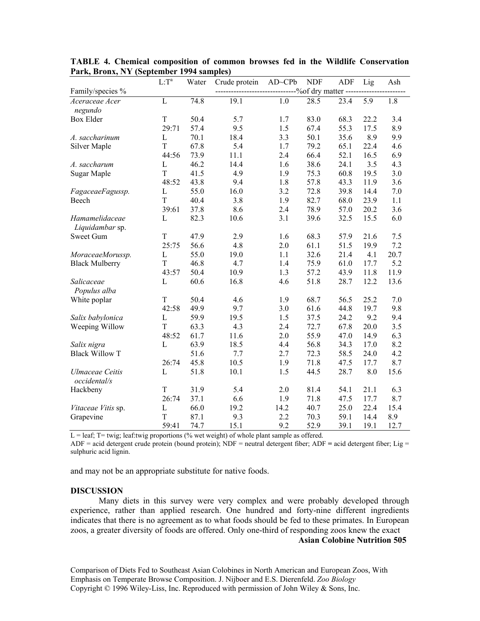|                                        | $L:T^a$ | Water | Crude protein | AD~CPb | <b>NDF</b> | ADF                         | Lig  | Ash  |
|----------------------------------------|---------|-------|---------------|--------|------------|-----------------------------|------|------|
| Family/species %                       |         |       |               |        |            | ------% of dry matter ----- |      |      |
| Aceraceae Acer                         | L       | 74.8  | 19.1          | 1.0    | 28.5       | 23.4                        | 5.9  | 1.8  |
| negundo                                |         |       |               |        |            |                             |      |      |
| <b>Box Elder</b>                       | T       | 50.4  | 5.7           | 1.7    | 83.0       | 68.3                        | 22.2 | 3.4  |
|                                        | 29:71   | 57.4  | 9.5           | 1.5    | 67.4       | 55.3                        | 17.5 | 8.9  |
| A. saccharinum                         | L       | 70.1  | 18.4          | 3.3    | 50.1       | 35.6                        | 8.9  | 9.9  |
| Silver Maple                           | T       | 67.8  | 5.4           | 1.7    | 79.2       | 65.1                        | 22.4 | 4.6  |
|                                        | 44:56   | 73.9  | 11.1          | 2.4    | 66.4       | 52.1                        | 16.5 | 6.9  |
| A. saccharum                           | L       | 46.2  | 14.4          | 1.6    | 38.6       | 24.1                        | 3.5  | 4.3  |
| Sugar Maple                            | T       | 41.5  | 4.9           | 1.9    | 75.3       | 60.8                        | 19.5 | 3.0  |
|                                        | 48:52   | 43.8  | 9.4           | 1.8    | 57.8       | 43.3                        | 11.9 | 3.6  |
| FagaceaeFagussp.                       | L       | 55.0  | 16.0          | 3.2    | 72.8       | 39.8                        | 14.4 | 7.0  |
| Beech                                  | T       | 40.4  | 3.8           | 1.9    | 82.7       | 68.0                        | 23.9 | 1.1  |
|                                        | 39:61   | 37.8  | 8.6           | 2.4    | 78.9       | 57.0                        | 20.2 | 3.6  |
| Hamamelidaceae<br>Liquidambar sp.      | L       | 82.3  | 10.6          | 3.1    | 39.6       | 32.5                        | 15.5 | 6.0  |
| Sweet Gum                              | T       | 47.9  | 2.9           | 1.6    | 68.3       | 57.9                        | 21.6 | 7.5  |
|                                        | 25:75   | 56.6  | 4.8           | 2.0    | 61.1       | 51.5                        | 19.9 | 7.2  |
| MoraceaeMorussp.                       | L       | 55.0  | 19.0          | 1.1    | 32.6       | 21.4                        | 4.1  | 20.7 |
| <b>Black Mulberry</b>                  | T       | 46.8  | 4.7           | 1.4    | 75.9       | 61.0                        | 17.7 | 5.2  |
|                                        | 43:57   | 50.4  | 10.9          | 1.3    | 57.2       | 43.9                        | 11.8 | 11.9 |
| Salicaceae                             | L       | 60.6  | 16.8          | 4.6    | 51.8       | 28.7                        | 12.2 | 13.6 |
| Populus alba                           |         |       |               |        |            |                             |      |      |
| White poplar                           | T       | 50.4  | 4.6           | 1.9    | 68.7       | 56.5                        | 25.2 | 7.0  |
|                                        | 42:58   | 49.9  | 9.7           | 3.0    | 61.6       | 44.8                        | 19.7 | 9.8  |
| Salix babylonica                       | L       | 59.9  | 19.5          | 1.5    | 37.5       | 24.2                        | 9.2  | 9.4  |
| Weeping Willow                         | T       | 63.3  | 4.3           | 2.4    | 72.7       | 67.8                        | 20.0 | 3.5  |
|                                        | 48:52   | 61.7  | 11.6          | 2.0    | 55.9       | 47.0                        | 14.9 | 6.3  |
| Salix nigra                            | L       | 63.9  | 18.5          | 4.4    | 56.8       | 34.3                        | 17.0 | 8.2  |
| <b>Black Willow T</b>                  |         | 51.6  | 7.7           | 2.7    | 72.3       | 58.5                        | 24.0 | 4.2  |
|                                        | 26:74   | 45.8  | 10.5          | 1.9    | 71.8       | 47.5                        | 17.7 | 8.7  |
| <b>Ulmaceae</b> Ceitis<br>occidental/s | L       | 51.8  | 10.1          | 1.5    | 44.5       | 28.7                        | 8.0  | 15.6 |
| Hackbeny                               | T       | 31.9  | 5.4           | 2.0    | 81.4       | 54.1                        | 21.1 | 6.3  |
|                                        | 26:74   | 37.1  | 6.6           | 1.9    | 71.8       | 47.5                        | 17.7 | 8.7  |
| Vitaceae Vitis sp.                     | L       | 66.0  | 19.2          | 14.2   | 40.7       | 25.0                        | 22.4 | 15.4 |
| Grapevine                              | T       | 87.1  | 9.3           | 2.2    | 70.3       | 59.1                        | 14.4 | 8.9  |
|                                        | 59:41   | 74.7  | 15.1          | 9.2    | 52.9       | 39.1                        | 19.1 | 12.7 |

**TABLE 4. Chemical composition of common browses fed in the Wildlife Conservation Park, Bronx, NY (September 1994 samples)** 

L = leaf; T= twig; leaf:twig proportions (% wet weight) of whole plant sample as offered.

ADF = acid detergent crude protein (bound protein); NDF = neutral detergent fiber; ADF **=** acid detergent fiber; Lig = sulphuric acid lignin.

and may not be an appropriate substitute for native foods.

#### **DISCUSSION**

Many diets in this survey were very complex and were probably developed through experience, rather than applied research. One hundred and forty-nine different ingredients indicates that there is no agreement as to what foods should be fed to these primates. In European zoos, a greater diversity of foods are offered. Only one-third of responding zoos knew the exact

**Asian Colobine Nutrition 505**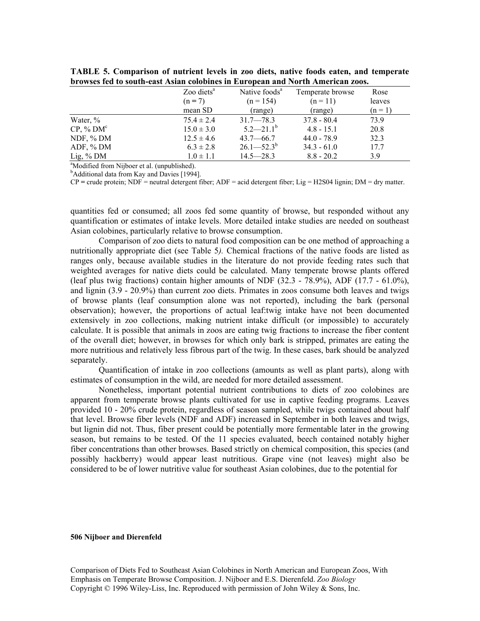|                          | Zoo diets <sup>a</sup> | Native foods <sup>a</sup> | Temperate browse | Rose    |
|--------------------------|------------------------|---------------------------|------------------|---------|
|                          | $(n = 7)$              | $(n = 154)$               | $(n = 11)$       | leaves  |
|                          | mean SD                | (range)                   | (range)          | $(n=1)$ |
| Water, %                 | $75.4 \pm 2.4$         | $31.7 - 78.3$             | $37.8 - 80.4$    | 73.9    |
| $CP, \%$ DM <sup>c</sup> | $15.0 \pm 3.0$         | $5.2 - 21.1^b$            | $4.8 - 15.1$     | 20.8    |
| NDF, $%$ DM              | $12.5 \pm 4.6$         | $43.7 - 66.7$             | $44.0 - 78.9$    | 32.3    |
| $ADF, \%$ DM             | $6.3 \pm 2.8$          | $26.1 - 52.3^b$           | $34.3 - 61.0$    | 17.7    |
| Lig, $%$ DM              | $1.0 \pm 1.1$          | $14.5 - 28.3$             | $8.8 - 20.2$     | 3.9     |

**TABLE 5. Comparison of nutrient levels in zoo diets, native foods eaten, and temperate browses fed to south-east Asian colobines in European and North American zoos.** 

<sup>a</sup>Modified from Nijboer et al. (unpublished).

<sup>b</sup>Additional data from Kay and Davies [1994].

 $CP$  = crude protein; NDF = neutral detergent fiber;  $ADF$  = acid detergent fiber;  $Lig$  = H2S04 lignin;  $DM = dry$  matter.

quantities fed or consumed; all zoos fed some quantity of browse, but responded without any quantification or estimates of intake levels. More detailed intake studies are needed on southeast Asian colobines, particularly relative to browse consumption.

Comparison of zoo diets to natural food composition can be one method of approaching a nutritionally appropriate diet (see Table 5*).* Chemical fractions of the native foods are listed as ranges only, because available studies in the literature do not provide feeding rates such that weighted averages for native diets could be calculated. Many temperate browse plants offered (leaf plus twig fractions) contain higher amounts of NDF (32.3 - 78.9%), ADF (17.7 - 61.0%), and lignin (3.9 - 20.9%) than current zoo diets. Primates in zoos consume both leaves and twigs of browse plants (leaf consumption alone was not reported), including the bark (personal observation); however, the proportions of actual leaf:twig intake have not been documented extensively in zoo collections, making nutrient intake difficult (or impossible) to accurately calculate. It is possible that animals in zoos are eating twig fractions to increase the fiber content of the overall diet; however, in browses for which only bark is stripped, primates are eating the more nutritious and relatively less fibrous part of the twig. In these cases, bark should be analyzed separately.

Quantification of intake in zoo collections (amounts as well as plant parts), along with estimates of consumption in the wild, are needed for more detailed assessment.

Nonetheless, important potential nutrient contributions to diets of zoo colobines are apparent from temperate browse plants cultivated for use in captive feeding programs. Leaves provided 10 - 20% crude protein, regardless of season sampled, while twigs contained about half that level. Browse fiber levels (NDF and ADF) increased in September in both leaves and twigs, but lignin did not. Thus, fiber present could be potentially more fermentable later in the growing season, but remains to be tested. Of the 11 species evaluated, beech contained notably higher fiber concentrations than other browses. Based strictly on chemical composition, this species (and possibly hackberry) would appear least nutritious. Grape vine (not leaves) might also be considered to be of lower nutritive value for southeast Asian colobines, due to the potential for

#### **506 Nijboer and Dierenfeld**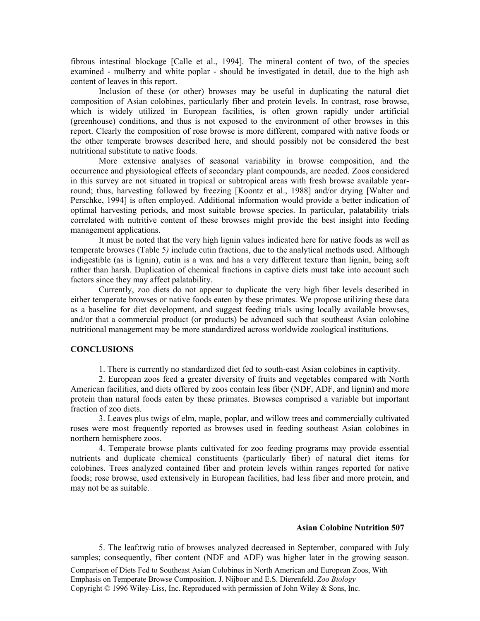fibrous intestinal blockage [Calle et al., 1994]. The mineral content of two, of the species examined - mulberry and white poplar - should be investigated in detail, due to the high ash content of leaves in this report.

Inclusion of these (or other) browses may be useful in duplicating the natural diet composition of Asian colobines, particularly fiber and protein levels. In contrast, rose browse, which is widely utilized in European facilities, is often grown rapidly under artificial (greenhouse) conditions, and thus is not exposed to the environment of other browses in this report. Clearly the composition of rose browse is more different, compared with native foods or the other temperate browses described here, and should possibly not be considered the best nutritional substitute to native foods.

More extensive analyses of seasonal variability in browse composition, and the occurrence and physiological effects of secondary plant compounds, are needed. Zoos considered in this survey are not situated in tropical or subtropical areas with fresh browse available yearround; thus, harvesting followed by freezing [Koontz et al., 1988] and/or drying [Walter and Perschke, 1994] is often employed. Additional information would provide a better indication of optimal harvesting periods, and most suitable browse species. In particular, palatability trials correlated with nutritive content of these browses might provide the best insight into feeding management applications.

It must be noted that the very high lignin values indicated here for native foods as well as temperate browses (Table 5*)* include cutin fractions, due to the analytical methods used. Although indigestible (as is lignin), cutin is a wax and has a very different texture than lignin, being soft rather than harsh. Duplication of chemical fractions in captive diets must take into account such factors since they may affect palatability.

Currently, zoo diets do not appear to duplicate the very high fiber levels described in either temperate browses or native foods eaten by these primates. We propose utilizing these data as a baseline for diet development, and suggest feeding trials using locally available browses, and/or that a commercial product (or products) be advanced such that southeast Asian colobine nutritional management may be more standardized across worldwide zoological institutions.

## **CONCLUSIONS**

1. There is currently no standardized diet fed to south-east Asian colobines in captivity.

2. European zoos feed a greater diversity of fruits and vegetables compared with North American facilities, and diets offered by zoos contain less fiber (NDF, ADF, and lignin) and more protein than natural foods eaten by these primates. Browses comprised a variable but important fraction of zoo diets.

3. Leaves plus twigs of elm, maple, poplar, and willow trees and commercially cultivated roses were most frequently reported as browses used in feeding southeast Asian colobines in northern hemisphere zoos.

4. Temperate browse plants cultivated for zoo feeding programs may provide essential nutrients and duplicate chemical constituents (particularly fiber) of natural diet items for colobines. Trees analyzed contained fiber and protein levels within ranges reported for native foods; rose browse, used extensively in European facilities, had less fiber and more protein, and may not be as suitable.

#### **Asian Colobine Nutrition 507**

5. The leaf:twig ratio of browses analyzed decreased in September, compared with July samples; consequently, fiber content (NDF and ADF) was higher later in the growing season.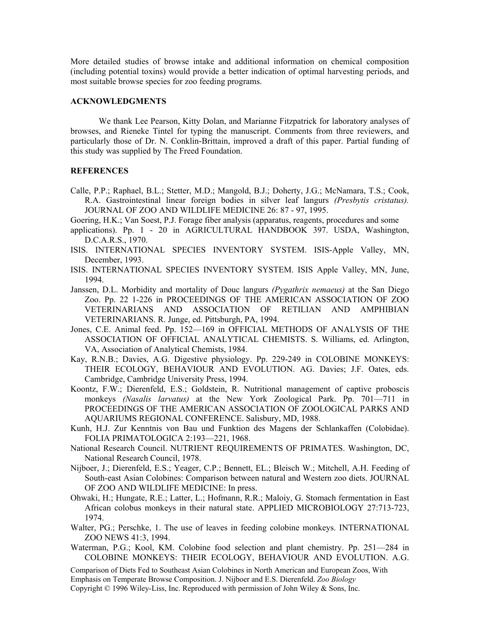More detailed studies of browse intake and additional information on chemical composition (including potential toxins) would provide a better indication of optimal harvesting periods, and most suitable browse species for zoo feeding programs.

## **ACKNOWLEDGMENTS**

We thank Lee Pearson, Kitty Dolan, and Marianne Fitzpatrick for laboratory analyses of browses, and Rieneke Tintel for typing the manuscript. Comments from three reviewers, and particularly those of Dr. N. Conklin-Brittain, improved a draft of this paper. Partial funding of this study was supplied by The Freed Foundation.

#### **REFERENCES**

- Calle, P.P.; Raphael, B.L.; Stetter, M.D.; Mangold, B.J.; Doherty, J.G.; McNamara, T.S.; Cook, R.A. Gastrointestinal linear foreign bodies in silver leaf langurs *(Presbytis cristatus).* JOURNAL OF ZOO AND WILDLIFE MEDICINE 26: 87 - 97, 1995.
- Goering, H.K.; Van Soest, P.J. Forage fiber analysis (apparatus, reagents, procedures and some
- applications). Pp. 1 20 in AGRICULTURAL HANDBOOK 397. USDA, Washington, D.C.A.R.S., 1970.
- ISIS. INTERNATIONAL SPECIES INVENTORY SYSTEM. ISIS-Apple Valley, MN, December, 1993.
- ISIS. INTERNATIONAL SPECIES INVENTORY SYSTEM. ISIS Apple Valley, MN, June, 1994.
- Janssen, D.L. Morbidity and mortality of Douc langurs *(Pygathrix nemaeus)* at the San Diego Zoo. Pp. 22 1-226 in PROCEEDINGS OF THE AMERICAN ASSOCIATION OF ZOO VETERINARIANS AND ASSOCIATION OF RETILIAN AND AMPHIBIAN VETERINARIANS. R. Junge, ed. Pittsburgh, PA, 1994.
- Jones, C.E. Animal feed. Pp. 152—169 in OFFICIAL METHODS OF ANALYSIS OF THE ASSOCIATION OF OFFICIAL ANALYTICAL CHEMISTS. S. Williams, ed. Arlington, VA, Association of Analytical Chemists, 1984.
- Kay, R.N.B.; Davies, A.G. Digestive physiology. Pp. 229-249 in COLOBINE MONKEYS: THEIR ECOLOGY, BEHAVIOUR AND EVOLUTION. AG. Davies; J.F. Oates, eds. Cambridge, Cambridge University Press, 1994.
- Koontz, F.W.; Dierenfeld, E.S.; Goldstein, R. Nutritional management of captive proboscis monkeys *(Nasalis larvatus)* at the New York Zoological Park. Pp. 701—711 in PROCEEDINGS OF THE AMERICAN ASSOCIATION OF ZOOLOGICAL PARKS AND AQUARIUMS REGIONAL CONFERENCE. Salisbury, MD, 1988.
- Kunh, H.J. Zur Kenntnis von Bau und Funktion des Magens der Schlankaffen (Colobidae). FOLIA PRIMATOLOGICA 2:193—221, 1968.
- National Research Council. NUTRIENT REQUIREMENTS OF PRIMATES. Washington, DC, National Research Council, 1978.
- Nijboer, J.; Dierenfeld, E.S.; Yeager, C.P.; Bennett, EL.; Bleisch W.; Mitchell, A.H. Feeding of South-east Asian Colobines: Comparison between natural and Western zoo diets. JOURNAL OF ZOO AND WILDLIFE MEDICINE: In press.
- Ohwaki, H.; Hungate, R.E.; Latter, L.; Hofmann, R.R.; Maloiy, G. Stomach fermentation in East African colobus monkeys in their natural state. APPLIED MICROBIOLOGY 27:713-723, 1974.
- Walter, PG.; Perschke, 1. The use of leaves in feeding colobine monkeys. INTERNATIONAL ZOO NEWS 41:3, 1994.
- Waterman, P.G.; Kool, KM. Colobine food selection and plant chemistry. Pp. 251—284 in COLOBINE MONKEYS: THEIR ECOLOGY, BEHAVIOUR AND EVOLUTION. A.G.